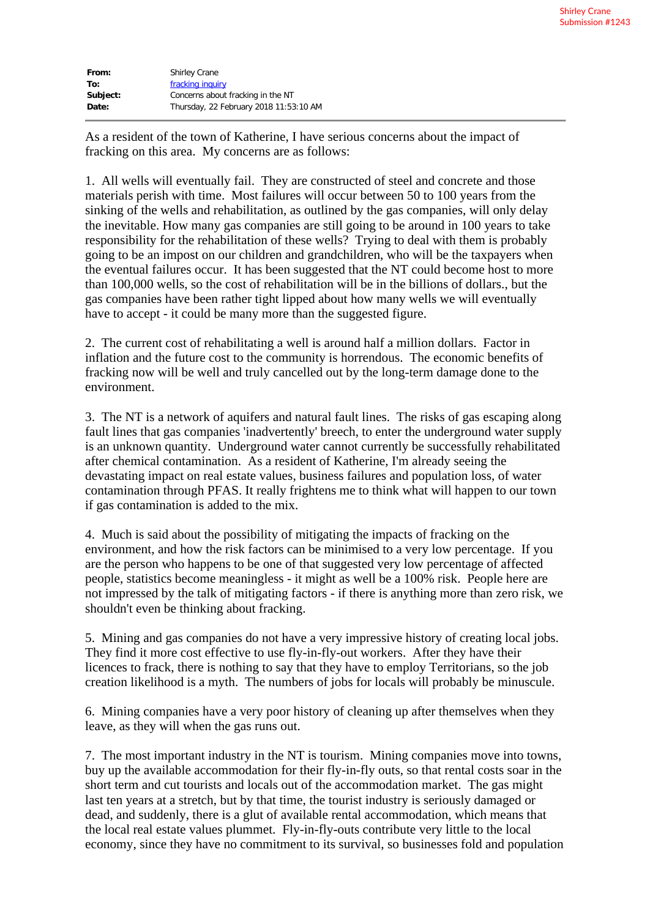| From:    | <b>Shirley Crane</b>                   |  |  |
|----------|----------------------------------------|--|--|
| To:      | fracking inquiry                       |  |  |
| Subject: | Concerns about fracking in the NT      |  |  |
| Date:    | Thursday, 22 February 2018 11:53:10 AM |  |  |

As a resident of the town of Katherine, I have serious concerns about the impact of fracking on this area. My concerns are as follows:

1. All wells will eventually fail. They are constructed of steel and concrete and those materials perish with time. Most failures will occur between 50 to 100 years from the sinking of the wells and rehabilitation, as outlined by the gas companies, will only delay the inevitable. How many gas companies are still going to be around in 100 years to take responsibility for the rehabilitation of these wells? Trying to deal with them is probably going to be an impost on our children and grandchildren, who will be the taxpayers when the eventual failures occur. It has been suggested that the NT could become host to more than 100,000 wells, so the cost of rehabilitation will be in the billions of dollars., but the gas companies have been rather tight lipped about how many wells we will eventually have to accept - it could be many more than the suggested figure.

2. The current cost of rehabilitating a well is around half a million dollars. Factor in inflation and the future cost to the community is horrendous. The economic benefits of fracking now will be well and truly cancelled out by the long-term damage done to the environment.

3. The NT is a network of aquifers and natural fault lines. The risks of gas escaping along fault lines that gas companies 'inadvertently' breech, to enter the underground water supply is an unknown quantity. Underground water cannot currently be successfully rehabilitated after chemical contamination. As a resident of Katherine, I'm already seeing the devastating impact on real estate values, business failures and population loss, of water contamination through PFAS. It really frightens me to think what will happen to our town if gas contamination is added to the mix.

4. Much is said about the possibility of mitigating the impacts of fracking on the environment, and how the risk factors can be minimised to a very low percentage. If you are the person who happens to be one of that suggested very low percentage of affected people, statistics become meaningless - it might as well be a 100% risk. People here are not impressed by the talk of mitigating factors - if there is anything more than zero risk, we shouldn't even be thinking about fracking.

5. Mining and gas companies do not have a very impressive history of creating local jobs. They find it more cost effective to use fly-in-fly-out workers. After they have their licences to frack, there is nothing to say that they have to employ Territorians, so the job creation likelihood is a myth. The numbers of jobs for locals will probably be minuscule.

6. Mining companies have a very poor history of cleaning up after themselves when they leave, as they will when the gas runs out.

7. The most important industry in the NT is tourism. Mining companies move into towns, buy up the available accommodation for their fly-in-fly outs, so that rental costs soar in the short term and cut tourists and locals out of the accommodation market. The gas might last ten years at a stretch, but by that time, the tourist industry is seriously damaged or dead, and suddenly, there is a glut of available rental accommodation, which means that the local real estate values plummet. Fly-in-fly-outs contribute very little to the local economy, since they have no commitment to its survival, so businesses fold and population